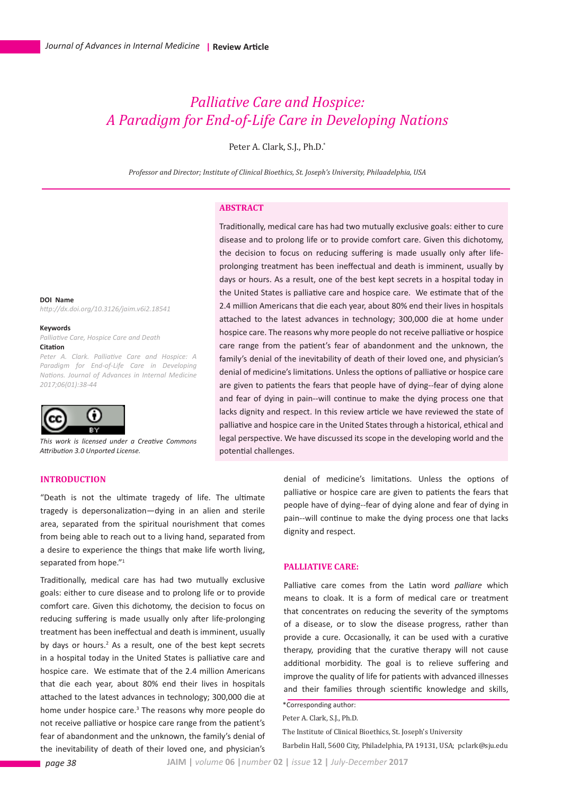# *Palliative Care and Hospice: A Paradigm for End-of-Life Care in Developing Nations*

Peter A. Clark, S.J., Ph.D.\*

*Professor and Director; Institute of Clinical Bioethics, St. Joseph's University, Philaadelphia, USA*

## **ABSTRACT**

the decision to focus on reducing suffering is made usually only after lifeprolonging treatment has been ineffectual and death is imminent, usually by days or hours. As a result, one of the best kept secrets in a hospital today in the United States is palliative care and hospice care. We estimate that of the 2.4 million Americans that die each year, about 80% end their lives in hospitals attached to the latest advances in technology; 300,000 die at home under hospice care. The reasons why more people do not receive palliative or hospice care range from the patient's fear of abandonment and the unknown, the family's denial of the inevitability of death of their loved one, and physician's denial of medicine's limitations. Unless the options of palliative or hospice care are given to patients the fears that people have of dying--fear of dying alone and fear of dying in pain--will continue to make the dying process one that lacks dignity and respect. In this review article we have reviewed the state of palliative and hospice care in the United States through a historical, ethical and legal perspective. We have discussed its scope in the developing world and the potential challenges.

Traditionally, medical care has had two mutually exclusive goals: either to cure disease and to prolong life or to provide comfort care. Given this dichotomy,

**DOI Name** *http://dx.doi.org/10.3126/jaim.v6i2.18541*

**Keywords**

*Palliative Care, Hospice Care and Death* **Citation**

*Peter A. Clark. Palliative Care and Hospice: A Paradigm for End-of-Life Care in Developing Nations. Journal of Advances in Internal Medicine 2017;06(01):38-44* 



*This work is licensed under a Creative Commons Attribution 3.0 Unported License.*

## **INTRODUCTION**

"Death is not the ultimate tragedy of life. The ultimate tragedy is depersonalization—dying in an alien and sterile area, separated from the spiritual nourishment that comes from being able to reach out to a living hand, separated from a desire to experience the things that make life worth living, separated from hope."<sup>1</sup>

Traditionally, medical care has had two mutually exclusive goals: either to cure disease and to prolong life or to provide comfort care. Given this dichotomy, the decision to focus on reducing suffering is made usually only after life-prolonging treatment has been ineffectual and death is imminent, usually by days or hours.<sup>2</sup> As a result, one of the best kept secrets in a hospital today in the United States is palliative care and hospice care. We estimate that of the 2.4 million Americans that die each year, about 80% end their lives in hospitals attached to the latest advances in technology; 300,000 die at home under hospice care.<sup>3</sup> The reasons why more people do not receive palliative or hospice care range from the patient's fear of abandonment and the unknown, the family's denial of the inevitability of death of their loved one, and physician's

denial of medicine's limitations. Unless the options of palliative or hospice care are given to patients the fears that people have of dying--fear of dying alone and fear of dying in pain--will continue to make the dying process one that lacks dignity and respect.

## **PALLIATIVE CARE:**

Palliative care comes from the Latin word *palliare* which means to cloak. It is a form of medical care or treatment that concentrates on reducing the severity of the symptoms of a disease, or to slow the disease progress, rather than provide a cure. Occasionally, it can be used with a curative therapy, providing that the curative therapy will not cause additional morbidity. The goal is to relieve suffering and improve the quality of life for patients with advanced illnesses and their families through scientific knowledge and skills,

Peter A. Clark, S.J., Ph.D.

The Institute of Clinical Bioethics, St. Joseph's University Barbelin Hall, 5600 City, Philadelphia, PA 19131, USA; pclark*@*sju.edu

<sup>\*</sup>Corresponding author: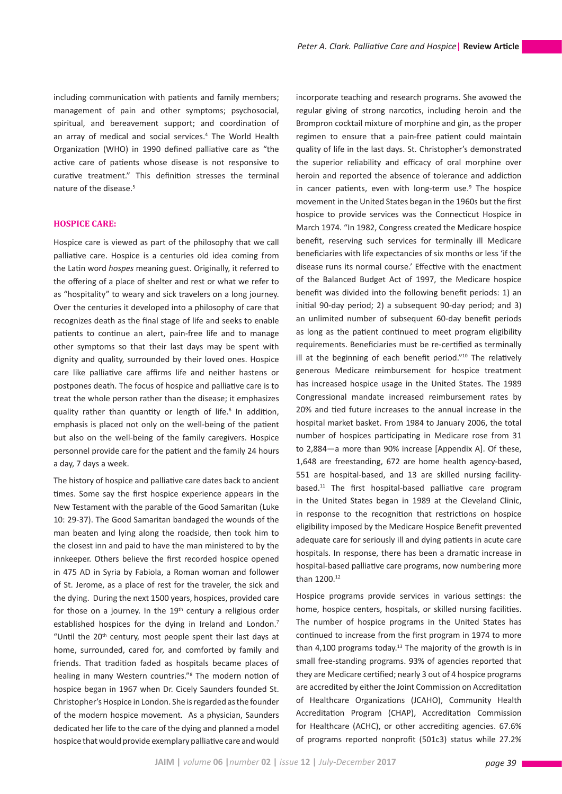including communication with patients and family members; management of pain and other symptoms; psychosocial, spiritual, and bereavement support; and coordination of an array of medical and social services.<sup>4</sup> The World Health Organization (WHO) in 1990 defined palliative care as "the active care of patients whose disease is not responsive to curative treatment." This definition stresses the terminal nature of the disease.<sup>5</sup>

## **HOSPICE CARE:**

Hospice care is viewed as part of the philosophy that we call palliative care. Hospice is a centuries old idea coming from the Latin word *hospes* meaning guest. Originally, it referred to the offering of a place of shelter and rest or what we refer to as "hospitality" to weary and sick travelers on a long journey. Over the centuries it developed into a philosophy of care that recognizes death as the final stage of life and seeks to enable patients to continue an alert, pain-free life and to manage other symptoms so that their last days may be spent with dignity and quality, surrounded by their loved ones. Hospice care like palliative care affirms life and neither hastens or postpones death. The focus of hospice and palliative care is to treat the whole person rather than the disease; it emphasizes quality rather than quantity or length of life.<sup>6</sup> In addition, emphasis is placed not only on the well-being of the patient but also on the well-being of the family caregivers. Hospice personnel provide care for the patient and the family 24 hours a day, 7 days a week.

The history of hospice and palliative care dates back to ancient times. Some say the first hospice experience appears in the New Testament with the parable of the Good Samaritan (Luke 10: 29-37). The Good Samaritan bandaged the wounds of the man beaten and lying along the roadside, then took him to the closest inn and paid to have the man ministered to by the innkeeper. Others believe the first recorded hospice opened in 475 AD in Syria by Fabiola, a Roman woman and follower of St. Jerome, as a place of rest for the traveler, the sick and the dying. During the next 1500 years, hospices, provided care for those on a journey. In the  $19<sup>th</sup>$  century a religious order established hospices for the dying in Ireland and London.<sup>7</sup> "Until the 20<sup>th</sup> century, most people spent their last days at home, surrounded, cared for, and comforted by family and friends. That tradition faded as hospitals became places of healing in many Western countries."<sup>8</sup> The modern notion of hospice began in 1967 when Dr. Cicely Saunders founded St. Christopher's Hospice in London. She is regarded as the founder of the modern hospice movement. As a physician, Saunders dedicated her life to the care of the dying and planned a model hospice that would provide exemplary palliative care and would incorporate teaching and research programs. She avowed the regular giving of strong narcotics, including heroin and the Brompron cocktail mixture of morphine and gin, as the proper regimen to ensure that a pain-free patient could maintain quality of life in the last days. St. Christopher's demonstrated the superior reliability and efficacy of oral morphine over heroin and reported the absence of tolerance and addiction in cancer patients, even with long-term use.<sup>9</sup> The hospice movement in the United States began in the 1960s but the first hospice to provide services was the Connecticut Hospice in March 1974. "In 1982, Congress created the Medicare hospice benefit, reserving such services for terminally ill Medicare beneficiaries with life expectancies of six months or less 'if the disease runs its normal course.' Effective with the enactment of the Balanced Budget Act of 1997, the Medicare hospice benefit was divided into the following benefit periods: 1) an initial 90-day period; 2) a subsequent 90-day period; and 3) an unlimited number of subsequent 60-day benefit periods as long as the patient continued to meet program eligibility requirements. Beneficiaries must be re-certified as terminally ill at the beginning of each benefit period."<sup>10</sup> The relatively generous Medicare reimbursement for hospice treatment has increased hospice usage in the United States. The 1989 Congressional mandate increased reimbursement rates by 20% and tied future increases to the annual increase in the hospital market basket. From 1984 to January 2006, the total number of hospices participating in Medicare rose from 31 to 2,884—a more than 90% increase [Appendix A]. Of these, 1,648 are freestanding, 672 are home health agency-based, 551 are hospital-based, and 13 are skilled nursing facilitybased.11 The first hospital-based palliative care program in the United States began in 1989 at the Cleveland Clinic, in response to the recognition that restrictions on hospice eligibility imposed by the Medicare Hospice Benefit prevented adequate care for seriously ill and dying patients in acute care hospitals. In response, there has been a dramatic increase in hospital-based palliative care programs, now numbering more than 1200.12

Hospice programs provide services in various settings: the home, hospice centers, hospitals, or skilled nursing facilities. The number of hospice programs in the United States has continued to increase from the first program in 1974 to more than 4,100 programs today.<sup>13</sup> The majority of the growth is in small free-standing programs. 93% of agencies reported that they are Medicare certified; nearly 3 out of 4 hospice programs are accredited by either the Joint Commission on Accreditation of Healthcare Organizations (JCAHO), Community Health Accreditation Program (CHAP), Accreditation Commission for Healthcare (ACHC), or other accrediting agencies. 67.6% of programs reported nonprofit (501c3) status while 27.2%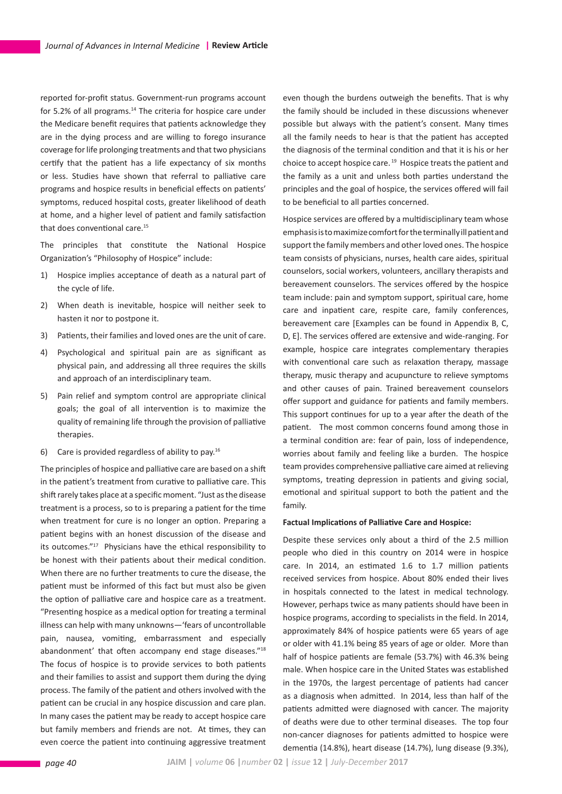reported for-profit status. Government-run programs account for 5.2% of all programs.<sup>14</sup> The criteria for hospice care under the Medicare benefit requires that patients acknowledge they are in the dying process and are willing to forego insurance coverage for life prolonging treatments and that two physicians certify that the patient has a life expectancy of six months or less. Studies have shown that referral to palliative care programs and hospice results in beneficial effects on patients' symptoms, reduced hospital costs, greater likelihood of death at home, and a higher level of patient and family satisfaction that does conventional care.15

The principles that constitute the National Hospice Organization's "Philosophy of Hospice" include:

- 1) Hospice implies acceptance of death as a natural part of the cycle of life.
- 2) When death is inevitable, hospice will neither seek to hasten it nor to postpone it.
- 3) Patients, their families and loved ones are the unit of care.
- 4) Psychological and spiritual pain are as significant as physical pain, and addressing all three requires the skills and approach of an interdisciplinary team.
- 5) Pain relief and symptom control are appropriate clinical goals; the goal of all intervention is to maximize the quality of remaining life through the provision of palliative therapies.
- 6) Care is provided regardless of ability to pay.16

The principles of hospice and palliative care are based on a shift in the patient's treatment from curative to palliative care. This shift rarely takes place at a specific moment. "Just as the disease treatment is a process, so to is preparing a patient for the time when treatment for cure is no longer an option. Preparing a patient begins with an honest discussion of the disease and its outcomes."17 Physicians have the ethical responsibility to be honest with their patients about their medical condition. When there are no further treatments to cure the disease, the patient must be informed of this fact but must also be given the option of palliative care and hospice care as a treatment. "Presenting hospice as a medical option for treating a terminal illness can help with many unknowns—'fears of uncontrollable pain, nausea, vomiting, embarrassment and especially abandonment' that often accompany end stage diseases."<sup>18</sup> The focus of hospice is to provide services to both patients and their families to assist and support them during the dying process. The family of the patient and others involved with the patient can be crucial in any hospice discussion and care plan. In many cases the patient may be ready to accept hospice care but family members and friends are not. At times, they can even coerce the patient into continuing aggressive treatment even though the burdens outweigh the benefits. That is why the family should be included in these discussions whenever possible but always with the patient's consent. Many times all the family needs to hear is that the patient has accepted the diagnosis of the terminal condition and that it is his or her choice to accept hospice care. 19 Hospice treats the patient and the family as a unit and unless both parties understand the principles and the goal of hospice, the services offered will fail to be beneficial to all parties concerned.

Hospice services are offered by a multidisciplinary team whose emphasis is to maximize comfort for the terminally ill patient and support the family members and other loved ones. The hospice team consists of physicians, nurses, health care aides, spiritual counselors, social workers, volunteers, ancillary therapists and bereavement counselors. The services offered by the hospice team include: pain and symptom support, spiritual care, home care and inpatient care, respite care, family conferences, bereavement care [Examples can be found in Appendix B, C, D, E]. The services offered are extensive and wide-ranging. For example, hospice care integrates complementary therapies with conventional care such as relaxation therapy, massage therapy, music therapy and acupuncture to relieve symptoms and other causes of pain. Trained bereavement counselors offer support and guidance for patients and family members. This support continues for up to a year after the death of the patient. The most common concerns found among those in a terminal condition are: fear of pain, loss of independence, worries about family and feeling like a burden. The hospice team provides comprehensive palliative care aimed at relieving symptoms, treating depression in patients and giving social, emotional and spiritual support to both the patient and the family.

## **Factual Implications of Palliative Care and Hospice:**

Despite these services only about a third of the 2.5 million people who died in this country on 2014 were in hospice care. In 2014, an estimated 1.6 to 1.7 million patients received services from hospice. About 80% ended their lives in hospitals connected to the latest in medical technology. However, perhaps twice as many patients should have been in hospice programs, according to specialists in the field. In 2014, approximately 84% of hospice patients were 65 years of age or older with 41.1% being 85 years of age or older. More than half of hospice patients are female (53.7%) with 46.3% being male. When hospice care in the United States was established in the 1970s, the largest percentage of patients had cancer as a diagnosis when admitted. In 2014, less than half of the patients admitted were diagnosed with cancer. The majority of deaths were due to other terminal diseases. The top four non-cancer diagnoses for patients admitted to hospice were dementia (14.8%), heart disease (14.7%), lung disease (9.3%),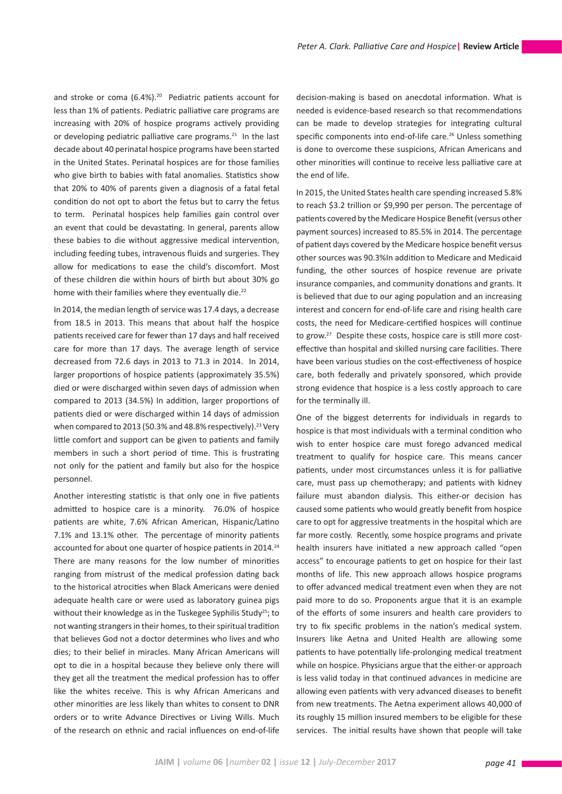and stroke or coma (6.4%).<sup>20</sup> Pediatric patients account for less than 1% of patients. Pediatric palliative care programs are increasing with 20% of hospice programs actively providing or developing pediatric palliative care programs. $21$  In the last decade about 40 perinatal hospice programs have been started in the United States. Perinatal hospices are for those families who give birth to babies with fatal anomalies. Statistics show that 20% to 40% of parents given a diagnosis of a fatal fetal condition do not opt to abort the fetus but to carry the fetus to term. Perinatal hospices help families gain control over an event that could be devastating. In general, parents allow these babies to die without aggressive medical intervention, including feeding tubes, intravenous fluids and surgeries. They allow for medications to ease the child's discomfort. Most of these children die within hours of birth but about 30% go home with their families where they eventually die.<sup>22</sup>

In 2014, the median length of service was 17.4 days, a decrease from 18.5 in 2013. This means that about half the hospice patients received care for fewer than 17 days and half received care for more than 17 days. The average length of service decreased from 72.6 days in 2013 to 71.3 in 2014. In 2014, larger proportions of hospice patients (approximately 35.5%) died or were discharged within seven days of admission when compared to 2013 (34.5%) In addition, larger proportions of patients died or were discharged within 14 days of admission when compared to 2013 (50.3% and 48.8% respectively).<sup>23</sup> Very little comfort and support can be given to patients and family members in such a short period of time. This is frustrating not only for the patient and family but also for the hospice personnel.

Another interesting statistic is that only one in five patients admitted to hospice care is a minority. 76.0% of hospice patients are white, 7.6% African American, Hispanic/Latino 7.1% and 13.1% other. The percentage of minority patients accounted for about one quarter of hospice patients in 2014.<sup>24</sup> There are many reasons for the low number of minorities ranging from mistrust of the medical profession dating back to the historical atrocities when Black Americans were denied adequate health care or were used as laboratory guinea pigs without their knowledge as in the Tuskegee Syphilis Study<sup>25</sup>; to not wanting strangers in their homes, to their spiritual tradition that believes God not a doctor determines who lives and who dies; to their belief in miracles. Many African Americans will opt to die in a hospital because they believe only there will they get all the treatment the medical profession has to offer like the whites receive. This is why African Americans and other minorities are less likely than whites to consent to DNR orders or to write Advance Directives or Living Wills. Much of the research on ethnic and racial influences on end-of-life decision-making is based on anecdotal information. What is needed is evidence-based research so that recommendations can be made to develop strategies for integrating cultural specific components into end-of-life care.<sup>26</sup> Unless something is done to overcome these suspicions, African Americans and other minorities will continue to receive less palliative care at the end of life.

In 2015, the United States health care spending increased 5.8% to reach \$3.2 trillion or \$9,990 per person. The percentage of patients covered by the Medicare Hospice Benefit (versus other payment sources) increased to 85.5% in 2014. The percentage of patient days covered by the Medicare hospice benefit versus other sources was 90.3%In addition to Medicare and Medicaid funding, the other sources of hospice revenue are private insurance companies, and community donations and grants. It is believed that due to our aging population and an increasing interest and concern for end-of-life care and rising health care costs, the need for Medicare-certified hospices will continue to grow.<sup>27</sup> Despite these costs, hospice care is still more costeffective than hospital and skilled nursing care facilities. There have been various studies on the cost-effectiveness of hospice care, both federally and privately sponsored, which provide strong evidence that hospice is a less costly approach to care for the terminally ill.

One of the biggest deterrents for individuals in regards to hospice is that most individuals with a terminal condition who wish to enter hospice care must forego advanced medical treatment to qualify for hospice care. This means cancer patients, under most circumstances unless it is for palliative care, must pass up chemotherapy; and patients with kidney failure must abandon dialysis. This either-or decision has caused some patients who would greatly benefit from hospice care to opt for aggressive treatments in the hospital which are far more costly. Recently, some hospice programs and private health insurers have initiated a new approach called "open access" to encourage patients to get on hospice for their last months of life. This new approach allows hospice programs to offer advanced medical treatment even when they are not paid more to do so. Proponents argue that it is an example of the efforts of some insurers and health care providers to try to fix specific problems in the nation's medical system. Insurers like Aetna and United Health are allowing some patients to have potentially life-prolonging medical treatment while on hospice. Physicians argue that the either-or approach is less valid today in that continued advances in medicine are allowing even patients with very advanced diseases to benefit from new treatments. The Aetna experiment allows 40,000 of its roughly 15 million insured members to be eligible for these services. The initial results have shown that people will take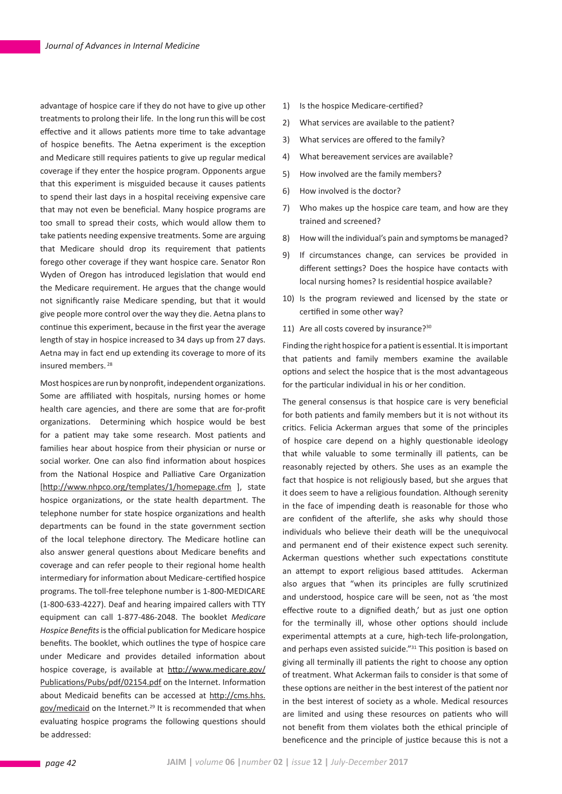advantage of hospice care if they do not have to give up other treatments to prolong their life. In the long run this will be cost effective and it allows patients more time to take advantage of hospice benefits. The Aetna experiment is the exception and Medicare still requires patients to give up regular medical coverage if they enter the hospice program. Opponents argue that this experiment is misguided because it causes patients to spend their last days in a hospital receiving expensive care that may not even be beneficial. Many hospice programs are too small to spread their costs, which would allow them to take patients needing expensive treatments. Some are arguing that Medicare should drop its requirement that patients forego other coverage if they want hospice care. Senator Ron Wyden of Oregon has introduced legislation that would end the Medicare requirement. He argues that the change would not significantly raise Medicare spending, but that it would give people more control over the way they die. Aetna plans to continue this experiment, because in the first year the average length of stay in hospice increased to 34 days up from 27 days. Aetna may in fact end up extending its coverage to more of its insured members. 28

Most hospices are run by nonprofit, independent organizations. Some are affiliated with hospitals, nursing homes or home health care agencies, and there are some that are for-profit organizations. Determining which hospice would be best for a patient may take some research. Most patients and families hear about hospice from their physician or nurse or social worker. One can also find information about hospices from the National Hospice and Palliative Care Organization [http://www.nhpco.org/templates/1/homepage.cfm ], state hospice organizations, or the state health department. The telephone number for state hospice organizations and health departments can be found in the state government section of the local telephone directory. The Medicare hotline can also answer general questions about Medicare benefits and coverage and can refer people to their regional home health intermediary for information about Medicare-certified hospice programs. The toll-free telephone number is 1-800-MEDICARE (1-800-633-4227). Deaf and hearing impaired callers with TTY equipment can call 1-877-486-2048. The booklet *Medicare Hospice Benefits* is the official publication for Medicare hospice benefits. The booklet, which outlines the type of hospice care under Medicare and provides detailed information about hospice coverage, is available at http://www.medicare.gov/ Publications/Pubs/pdf/02154.pdf on the Internet. Information about Medicaid benefits can be accessed at http://cms.hhs. gov/medicaid on the Internet.29 It is recommended that when evaluating hospice programs the following questions should be addressed:

- 1) Is the hospice Medicare-certified?
- 2) What services are available to the patient?
- 3) What services are offered to the family?
- 4) What bereavement services are available?
- 5) How involved are the family members?
- 6) How involved is the doctor?
- 7) Who makes up the hospice care team, and how are they trained and screened?
- 8) How will the individual's pain and symptoms be managed?
- 9) If circumstances change, can services be provided in different settings? Does the hospice have contacts with local nursing homes? Is residential hospice available?
- 10) Is the program reviewed and licensed by the state or certified in some other way?
- 11) Are all costs covered by insurance?<sup>30</sup>

Finding the right hospice for a patient is essential. It is important that patients and family members examine the available options and select the hospice that is the most advantageous for the particular individual in his or her condition.

The general consensus is that hospice care is very beneficial for both patients and family members but it is not without its critics. Felicia Ackerman argues that some of the principles of hospice care depend on a highly questionable ideology that while valuable to some terminally ill patients, can be reasonably rejected by others. She uses as an example the fact that hospice is not religiously based, but she argues that it does seem to have a religious foundation. Although serenity in the face of impending death is reasonable for those who are confident of the afterlife, she asks why should those individuals who believe their death will be the unequivocal and permanent end of their existence expect such serenity. Ackerman questions whether such expectations constitute an attempt to export religious based attitudes. Ackerman also argues that "when its principles are fully scrutinized and understood, hospice care will be seen, not as 'the most effective route to a dignified death,' but as just one option for the terminally ill, whose other options should include experimental attempts at a cure, high-tech life-prolongation, and perhaps even assisted suicide."<sup>31</sup> This position is based on giving all terminally ill patients the right to choose any option of treatment. What Ackerman fails to consider is that some of these options are neither in the best interest of the patient nor in the best interest of society as a whole. Medical resources are limited and using these resources on patients who will not benefit from them violates both the ethical principle of beneficence and the principle of justice because this is not a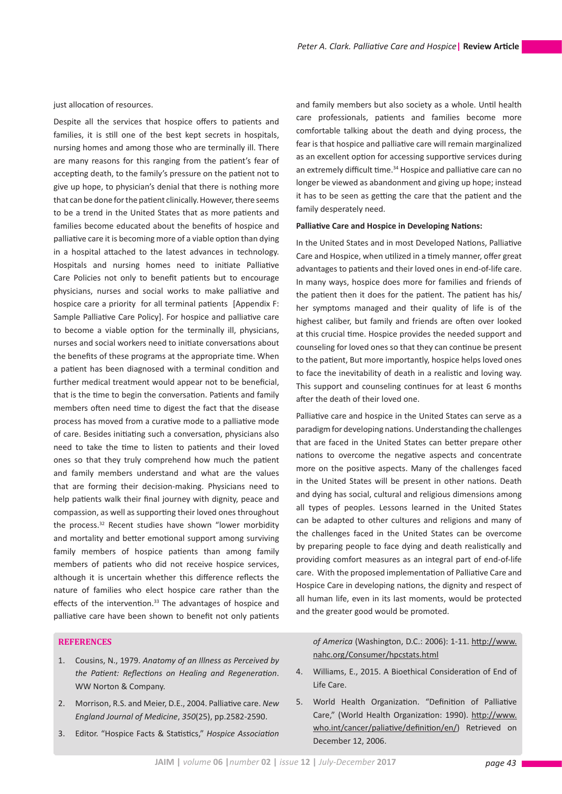just allocation of resources.

Despite all the services that hospice offers to patients and families, it is still one of the best kept secrets in hospitals, nursing homes and among those who are terminally ill. There are many reasons for this ranging from the patient's fear of accepting death, to the family's pressure on the patient not to give up hope, to physician's denial that there is nothing more that can be done for the patient clinically. However, there seems to be a trend in the United States that as more patients and families become educated about the benefits of hospice and palliative care it is becoming more of a viable option than dying in a hospital attached to the latest advances in technology. Hospitals and nursing homes need to initiate Palliative Care Policies not only to benefit patients but to encourage physicians, nurses and social works to make palliative and hospice care a priority for all terminal patients [Appendix F: Sample Palliative Care Policy]. For hospice and palliative care to become a viable option for the terminally ill, physicians, nurses and social workers need to initiate conversations about the benefits of these programs at the appropriate time. When a patient has been diagnosed with a terminal condition and further medical treatment would appear not to be beneficial, that is the time to begin the conversation. Patients and family members often need time to digest the fact that the disease process has moved from a curative mode to a palliative mode of care. Besides initiating such a conversation, physicians also need to take the time to listen to patients and their loved ones so that they truly comprehend how much the patient and family members understand and what are the values that are forming their decision-making. Physicians need to help patients walk their final journey with dignity, peace and compassion, as well as supporting their loved ones throughout the process.32 Recent studies have shown "lower morbidity and mortality and better emotional support among surviving family members of hospice patients than among family members of patients who did not receive hospice services, although it is uncertain whether this difference reflects the nature of families who elect hospice care rather than the effects of the intervention.<sup>33</sup> The advantages of hospice and palliative care have been shown to benefit not only patients

## **REFERENCES**

- 1. Cousins, N., 1979. *Anatomy of an Illness as Perceived by the Patient: Reflections on Healing and Regeneration*. WW Norton & Company.
- 2. Morrison, R.S. and Meier, D.E., 2004. Palliative care. *New England Journal of Medicine*, *350*(25), pp.2582-2590.
- 3. Editor. "Hospice Facts & Statistics," *Hospice Association*

and family members but also society as a whole. Until health care professionals, patients and families become more comfortable talking about the death and dying process, the fear is that hospice and palliative care will remain marginalized as an excellent option for accessing supportive services during an extremely difficult time.<sup>34</sup> Hospice and palliative care can no longer be viewed as abandonment and giving up hope; instead it has to be seen as getting the care that the patient and the family desperately need.

#### **Palliative Care and Hospice in Developing Nations:**

In the United States and in most Developed Nations, Palliative Care and Hospice, when utilized in a timely manner, offer great advantages to patients and their loved ones in end-of-life care. In many ways, hospice does more for families and friends of the patient then it does for the patient. The patient has his/ her symptoms managed and their quality of life is of the highest caliber, but family and friends are often over looked at this crucial time. Hospice provides the needed support and counseling for loved ones so that they can continue be present to the patient, But more importantly, hospice helps loved ones to face the inevitability of death in a realistic and loving way. This support and counseling continues for at least 6 months after the death of their loved one.

Palliative care and hospice in the United States can serve as a paradigm for developing nations. Understanding the challenges that are faced in the United States can better prepare other nations to overcome the negative aspects and concentrate more on the positive aspects. Many of the challenges faced in the United States will be present in other nations. Death and dying has social, cultural and religious dimensions among all types of peoples. Lessons learned in the United States can be adapted to other cultures and religions and many of the challenges faced in the United States can be overcome by preparing people to face dying and death realistically and providing comfort measures as an integral part of end-of-life care. With the proposed implementation of Palliative Care and Hospice Care in developing nations, the dignity and respect of all human life, even in its last moments, would be protected and the greater good would be promoted.

*of America* (Washington, D.C.: 2006): 1-11. http://www. nahc.org/Consumer/hpcstats.html

- 4. Williams, E., 2015. A Bioethical Consideration of End of Life Care.
- 5. World Health Organization. "Definition of Palliative Care," (World Health Organization: 1990). http://www. who.int/cancer/paliative/definition/en/) Retrieved on December 12, 2006.